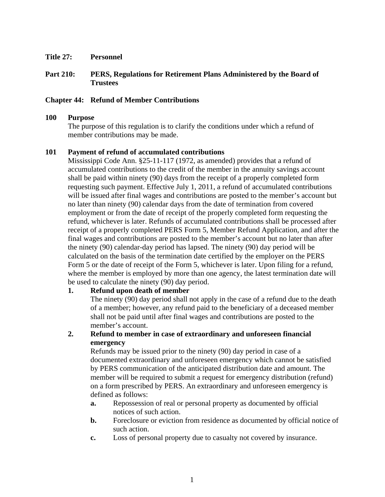**Title 27: Personnel** 

## **Part 210: PERS, Regulations for Retirement Plans Administered by the Board of Trustees**

## **Chapter 44: Refund of Member Contributions**

#### **100 Purpose**

The purpose of this regulation is to clarify the conditions under which a refund of member contributions may be made.

### **101 Payment of refund of accumulated contributions**

Mississippi Code Ann. §25-11-117 (1972, as amended) provides that a refund of accumulated contributions to the credit of the member in the annuity savings account shall be paid within ninety (90) days from the receipt of a properly completed form requesting such payment. Effective July 1, 2011, a refund of accumulated contributions will be issued after final wages and contributions are posted to the member's account but no later than ninety (90) calendar days from the date of termination from covered employment or from the date of receipt of the properly completed form requesting the refund, whichever is later. Refunds of accumulated contributions shall be processed after receipt of a properly completed PERS Form 5, Member Refund Application, and after the final wages and contributions are posted to the member's account but no later than after the ninety (90) calendar-day period has lapsed. The ninety (90) day period will be calculated on the basis of the termination date certified by the employer on the PERS Form 5 or the date of receipt of the Form 5, whichever is later. Upon filing for a refund, where the member is employed by more than one agency, the latest termination date will be used to calculate the ninety (90) day period.

#### **1. Refund upon death of member**

The ninety (90) day period shall not apply in the case of a refund due to the death of a member; however, any refund paid to the beneficiary of a deceased member shall not be paid until after final wages and contributions are posted to the member's account.

# **2. Refund to member in case of extraordinary and unforeseen financial emergency**

Refunds may be issued prior to the ninety (90) day period in case of a documented extraordinary and unforeseen emergency which cannot be satisfied by PERS communication of the anticipated distribution date and amount. The member will be required to submit a request for emergency distribution (refund) on a form prescribed by PERS. An extraordinary and unforeseen emergency is defined as follows:

- **a.** Repossession of real or personal property as documented by official notices of such action.
- **b.** Foreclosure or eviction from residence as documented by official notice of such action.
- **c.** Loss of personal property due to casualty not covered by insurance.